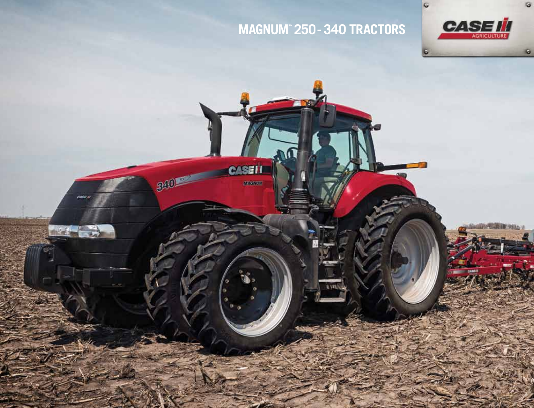## **magnum™ 250- 340 tractors**



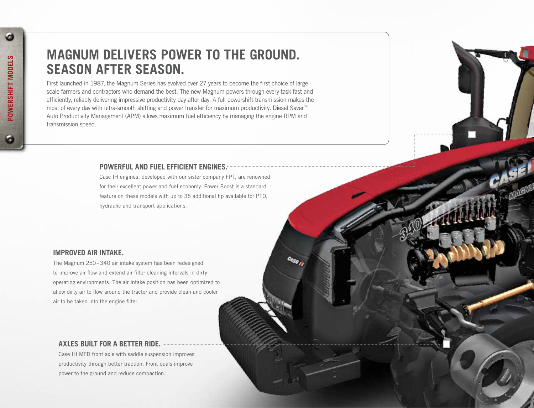# **MAGNUM DELIVERS POWER TO THE GROUND. SEASON AFTER SEASON.**

First launched in 1987, the Magnum Series has evolved over 27 years to become the first choice of large scale farmers and contractors who demand the best. The new Magnum powers through every task fast and efficiently, reliably delivering impressive productivity day after day. A full powershift transmission makes the most of every day with ultra-smooth shifting and power transfer for maximum productivity. Diesel Saver™ Auto Productivity Management (APM) allows maximum fuel efficiency by managing the engine RPM and transmission speed.

#### **POWERFUL AND FUEL EFFICIENT ENGINES.**

Case IH engines, developed with our sister company FPT, are renowned for their excellent power and fuel economy. Power Boost is a standard feature on these models with up to 35 additional hp available for PTO, hydraulic and transport applications.

#### **IMPROVED AIR INTAKE.**

The Magnum 250–340 air intake system has been redesigned to improve air flow and extend air filter cleaning intervals in dirty operating environments. The air intake position has been optimized to allow dirty air to flow around the tractor and provide clean and cooler air to be taken into the engine filter.

## **AXLES BUILT FOR A BETTER RIDE.**

Case IH MFD front axle with saddle suspension improves productivity through better traction. Front duals improve power to the ground and reduce compaction.

 $\omega$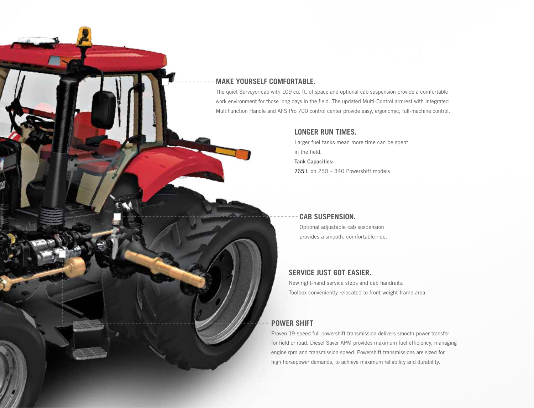### **MAKE YOURSELF COMFORTABLE.**

The quiet Surveyor cab with 109 cu. ft. of space and optional cab suspension provide a comfortable work environment for those long days in the field. The updated Multi-Control armrest with integrated MultiFunction Handle and AFS Pro 700 control center provide easy, ergonomic, full-machine control.

#### **LONGER RUN TIMES.**

Larger fuel tanks mean more time can be spent in the field. Tank Capacities: 765 L on 250 – 340 Powershift models

## **Cab suspension.**

Optional adjustable cab suspension provides a smooth, comfortable ride.

#### **SERVICE JUST GOT EASIER.**

New right-hand service steps and cab handrails. Toolbox conveniently relocated to front weight frame area.

## **POWER SHIFT**

Proven 19-speed full powershift transmission delivers smooth power transfer for field or road. Diesel Saver APM provides maximum fuel efficiency, managing engine rpm and transmission speed. Powershift transmissions are sized for high horsepower demands, to achieve maximum reliability and durability.